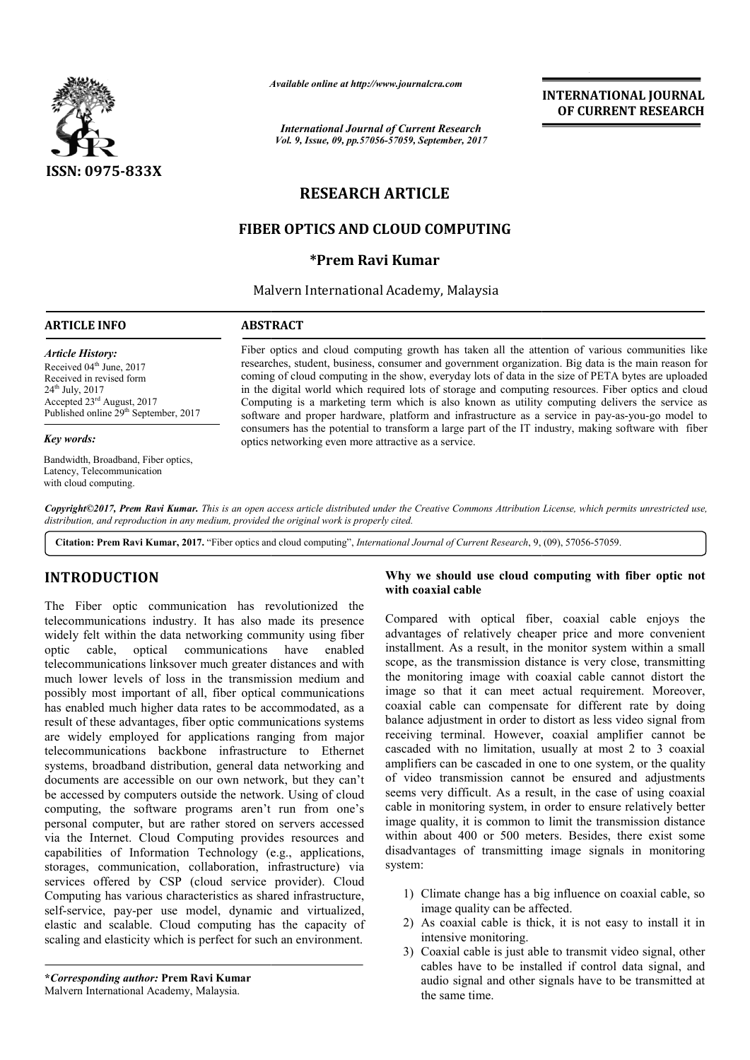

*Available online at http://www.journal http://www.journalcra.com*

*International Journal of Current Research Vol. 9, Issue, 09, pp.57056-57059, September, 2017*

## **INTERNATIONAL JOURNAL OF CURRENT RESEARCH**

# **RESEARCH ARTICLE**

# **FIBER OPTICS AND CLOUD COMPUTING**

## **\*Prem Ravi Kumar**

Malvern International Academy, Malaysia

## **ARTICLE INFO ABSTRACT**

*Article History:* Received 04<sup>th</sup> June, 2017 Received in revised form 24th July, 2017 Accepted 23rd August, 2017 Published online 29<sup>th</sup> September, 2017

#### *Key words:*

Bandwidth, Broadband, Fiber optics, Latency, Telecommunication with cloud computing.

Fiber optics and cloud computing growth has taken all the attention of various communities like researches, student, business, consumer and government organization. Big data is the main reason for coming of cloud computing in the show, everyday lots of data in the size of PETA bytes are uploaded in the digital world which required lots of storage and computing resources. Fiber optics and cloud Computing is a marketing term which is also known as utility computing delivers the service as in the digital world which required lots of storage and computing resources. Fiber optics and cloud<br>Computing is a marketing term which is also known as utility computing delivers the service as<br>software and proper hardwar consumers has the potential to transform a large part of the IT industry, making software with fiber optics networking even more attractive as a service. Fiber optics and cloud computing growth has taken all the attention of various communities like researches, student, business, consumer and government organization. Big data is the main reason for coming of cloud computing

*Copyright©2017, Prem Ravi Kumar. This is an open access article distributed under the Creative Commons Att Attribution License, which ribution permits unrestricted use, distribution, and reproduction in any medium, provided the original work is properly cited.*

Citation: Prem Ravi Kumar, 2017. "Fiber optics and cloud computing", *International Journal of Current Research*, 9, (09), 57056-57059.

# **INTRODUCTION**

The Fiber optic communication has revolutionized the telecommunications industry. It has also made its presence widely felt within the data networking community using fiber optic cable, optical communications have enabled telecommunications linksover much greater distances and with much lower levels of loss in the transmission medium and possibly most important of all, fiber optical communications has enabled much higher data rates to be accommodated, as a result of these advantages, fiber optic communications systems are widely employed for applications ranging from major telecommunications backbone infrastructure to Ethernet systems, broadband distribution, general data networking and documents are accessible on our own network, but they can't be accessed by computers outside the network. Using of cloud computing, the software programs aren't run from one's personal computer, but are rather stored on servers accessed via the Internet. Cloud Computing provides resources and capabilities of Information Technology (e.g., applications, storages, communication, collaboration, infrastructure) via services offered by CSP (cloud service provider). Cloud Computing has various characteristics as shared infrastructure, self-service, pay-per use model, dynamic and virtualized, elastic and scalable. Cloud computing has the capacity of scaling and elasticity which is perfect for such an environment. ibly most important of all, fiber optical communications<br>enabled much higher data rates to be accommodated, as a<br>lt of these advantages, fiber optic communications systems<br>widely employed for applications ranging from majo **EXENDICTION**<br> **Why we should use cloud computing with fiber optic not<br>
every show to solid use cloud computing with case of<br>
electymminications industry. It has also made its presence<br>
compared with optical fiber, coaxial** 

**\****Corresponding author:* **Prem Ravi Kumar** Malvern International Academy, Malaysia.

## **with coaxial cable** Why we should use cloud computing with fiber optic not

Compared with optical fiber, coaxial cable enjoys the advantages of relatively cheaper price and more convenient installment. As a result, in the monitor system within a small scope, as the transmission distance is very close, transmitting the monitoring image with coaxial cable cannot distort the image so that it can meet actual requirement. Moreover, coaxial cable can compensate for different rate by doing balance adjustment in order to distort as less video signal from receiving terminal. However, coaxial amplifier cannot be cascaded with no limitation, usually at most 2 to 3 coaxial amplifiers can be cascaded in one to one system, or the quality of video transmission cannot be ensured and adjustments seems very difficult. As a result, in the case of using coaxial of video transmission cannot be ensured and adjustments seems very difficult. As a result, in the case of using coaxial cable in monitoring system, in order to ensure relatively better image quality, it is common to limit the transmission distance within about 400 or 500 meters. Besides, there exist some disadvantages of transmitting image signals in monitoring system: s of relatively cheaper price and more convenient<br>t. As a result, in the monitor system within a small<br>the transmission distance is very close, transmitting<br>oring image with coaxial cable cannot distort the<br>that it can mee the about discussion distance within about 400 or 500 meters. Besides, there exist some disadvantages of transmitting image signals in monitoring system:<br>1) Climate change has a big influence on coaxial cable, so **INTERNATIONAL JOURNAL**<br> **OF CURRENT RESEARCH**<br> **OF CURRENT RESEARCH**<br> **CF. 2017**<br> **CF. 2017**<br> **CF. 2017**<br> **CF. 2017**<br> **CF. 2017**<br> **CF. 2017**<br> **CF. 2017**<br> **CF. 2017**<br> **CF. 2017**<br> **CF. 2018**<br> **CF. 2018**<br> **CF. 2018**<br> **CF. 2** 

- 1) Climate change has a big influence on coaxial cable, so image quality can be affected.
- 2) As coaxial cable is thick, it is not easy to install it in intensive monitoring.
- 3) Coaxial cable is just able to transmit video signal, other cables have to be installed if control data signal, and audio signal and other signals have to be transmitted at the same time.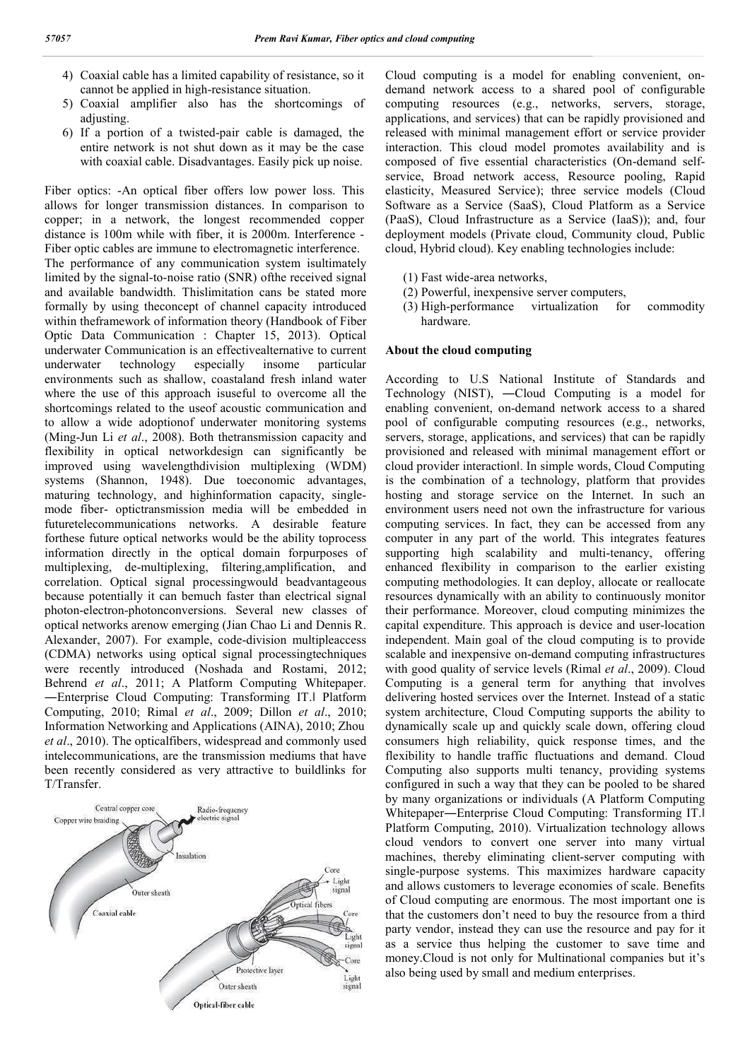- 4) Coaxial cable has a limited capability of resistance, so it cannot be applied in high-resistance situation.
- 5) Coaxial amplifier also has the shortcomings of adjusting.
- 6) If a portion of a twisted-pair cable is damaged, the entire network is not shut down as it may be the case with coaxial cable. Disadvantages. Easily pick up noise.

Fiber optics: -An optical fiber offers low power loss. This allows for longer transmission distances. In comparison to copper; in a network, the longest recommended copper distance is 100m while with fiber, it is 2000m. Interference - Fiber optic cables are immune to electromagnetic interference. The performance of any communication system isultimately limited by the signal-to-noise ratio (SNR) ofthe received signal and available bandwidth. Thislimitation cans be stated more formally by using theconcept of channel capacity introduced within theframework of information theory (Handbook of Fiber Optic Data Communication : Chapter 15, 2013). Optical underwater Communication is an effectivealternative to current underwater technology especially insome particular environments such as shallow, coastaland fresh inland water where the use of this approach isuseful to overcome all the shortcomings related to the useof acoustic communication and to allow a wide adoptionof underwater monitoring systems (Ming-Jun Li *et al*., 2008). Both thetransmission capacity and flexibility in optical networkdesign can significantly be improved using wavelengthdivision multiplexing (WDM) systems (Shannon, 1948). Due toeconomic advantages, maturing technology, and highinformation capacity, singlemode fiber- optictransmission media will be embedded in futuretelecommunications networks. A desirable feature forthese future optical networks would be the ability toprocess information directly in the optical domain forpurposes of multiplexing, de-multiplexing, filtering,amplification, and correlation. Optical signal processingwould beadvantageous because potentially it can bemuch faster than electrical signal photon-electron-photonconversions. Several new classes of optical networks arenow emerging (Jian Chao Li and Dennis R. Alexander, 2007). For example, code-division multipleaccess (CDMA) networks using optical signal processingtechniques were recently introduced (Noshada and Rostami, 2012; Behrend *et al*., 2011; A Platform Computing Whitepaper. ―Enterprise Cloud Computing: Transforming IT.ǁ Platform Computing, 2010; Rimal *et al*., 2009; Dillon *et al*., 2010; Information Networking and Applications (AINA), 2010; Zhou *et al*., 2010). The opticalfibers, widespread and commonly used intelecommunications, are the transmission mediums that have been recently considered as very attractive to buildlinks for T/Transfer.



Cloud computing is a model for enabling convenient, ondemand network access to a shared pool of configurable computing resources (e.g., networks, servers, storage, applications, and services) that can be rapidly provisioned and released with minimal management effort or service provider interaction. This cloud model promotes availability and is composed of five essential characteristics (On-demand selfservice, Broad network access, Resource pooling, Rapid elasticity, Measured Service); three service models (Cloud Software as a Service (SaaS), Cloud Platform as a Service (PaaS), Cloud Infrastructure as a Service (IaaS)); and, four deployment models (Private cloud, Community cloud, Public cloud, Hybrid cloud). Key enabling technologies include:

- (1) Fast wide-area networks,
- (2) Powerful, inexpensive server computers,
- (3) High-performance virtualization for commodity hardware.

## **About the cloud computing**

According to U.S National Institute of Standards and Technology (NIST), ―Cloud Computing is a model for enabling convenient, on-demand network access to a shared pool of configurable computing resources (e.g., networks, servers, storage, applications, and services) that can be rapidly provisioned and released with minimal management effort or cloud provider interactionǁ. In simple words, Cloud Computing is the combination of a technology, platform that provides hosting and storage service on the Internet. In such an environment users need not own the infrastructure for various computing services. In fact, they can be accessed from any computer in any part of the world. This integrates features supporting high scalability and multi-tenancy, offering enhanced flexibility in comparison to the earlier existing computing methodologies. It can deploy, allocate or reallocate resources dynamically with an ability to continuously monitor their performance. Moreover, cloud computing minimizes the capital expenditure. This approach is device and user-location independent. Main goal of the cloud computing is to provide scalable and inexpensive on-demand computing infrastructures with good quality of service levels (Rimal *et al*., 2009). Cloud Computing is a general term for anything that involves delivering hosted services over the Internet. Instead of a static system architecture, Cloud Computing supports the ability to dynamically scale up and quickly scale down, offering cloud consumers high reliability, quick response times, and the flexibility to handle traffic fluctuations and demand. Cloud Computing also supports multi tenancy, providing systems configured in such a way that they can be pooled to be shared by many organizations or individuals (A Platform Computing Whitepaper―Enterprise Cloud Computing: Transforming IT.ǁ Platform Computing, 2010). Virtualization technology allows cloud vendors to convert one server into many virtual machines, thereby eliminating client-server computing with single-purpose systems. This maximizes hardware capacity and allows customers to leverage economies of scale. Benefits of Cloud computing are enormous. The most important one is that the customers don't need to buy the resource from a third party vendor, instead they can use the resource and pay for it as a service thus helping the customer to save time and money.Cloud is not only for Multinational companies but it's also being used by small and medium enterprises.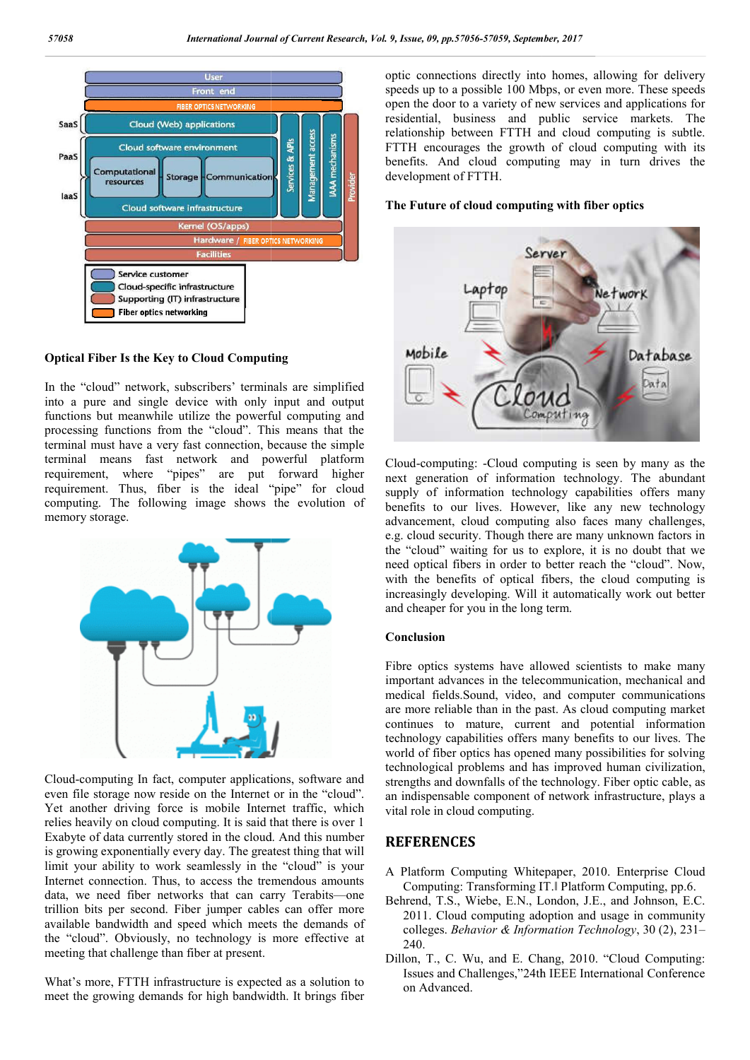

### **Optical Fiber Is the Key to Cloud Computing**

In the "cloud" network, subscribers' terminals are simplified into a pure and single device with only input and output functions but meanwhile utilize the powerful computing and processing functions from the "cloud". This means that the terminal must have a very fast connection, because the simple terminal means fast network and powerful platform requirement, where "pipes" are put forward higher requirement. Thus, fiber is the ideal "pipe" for cloud computing. The following image shows the evolution of memory storage.



Cloud-computing In fact, computer applications, software and even file storage now reside on the Internet or in the "cloud". Yet another driving force is mobile Internet traffic, which relies heavily on cloud computing. It is said that there is over 1 Exabyte of data currently stored in the cloud. And this number is growing exponentially every day. The greatest thing that will limit your ability to work seamlessly in the "cloud" is your Internet connection. Thus, to access the tremendous amounts data, we need fiber networks that can carry Terabits Terabits—one trillion bits per second. Fiber jumper cables can offer more available bandwidth and speed which meets the demands of the "cloud". Obviously, no technology is more effective at meeting that challenge than fiber at present.

What's more, FTTH infrastructure is expected as a solution to meet the growing demands for high bandwidth. It brings fiber optic connections directly into homes, allowing for delivery speeds up to a possible 100 Mbps, or even more. These speeds open the door to a variety of new services and applications for residential, business and public service markets. The relationship between FTTH and cloud computing is subtle. FTTH encourages the growth of cloud computing with its benefits. And cloud computing may in turn drives the development of FTTH. e door to a variety of new services and applications for<br>tial, business and public service markets. The<br>ship between FTTH and cloud computing is subtle.<br>encourages the growth of cloud computing with its<br>i. And cloud comput

#### **The Future of cloud computing with fiber optics**



Cloud-computing: -Cloud computing is seen by many as the next generation of information technology. The abundant supply of information technology capabilities offers many benefits to our lives. However, like any new technology advancement, cloud computing also faces many challenges, e.g. cloud security. Though there are many unknown factors in the "cloud" waiting for us to explore, it is no need optical fibers in order to better reach the "cloud". Now, with the benefits of optical fibers, the cloud computing is increasingly developing. Will it automatically work out better and cheaper for you in the long term. : -Cloud computing is seen by many as the<br>of information technology. The abundant<br>nation technology capabilities offers many<br>lives. However, like any new technology<br>ud computing also faces many challenges,<br>y. Though there

#### **Conclusion**

Fibre optics systems have allowed scientists to make many important advances in the telecommunication, mechanical and medical fields.Sound, video, and computer communications are more reliable than in the past. As cloud computing market continues to mature, current and potential information technology capabilities offers many benefits to our lives. The world of fiber optics has opened many possibilities for solving technological problems and has improved human civilization, strengths and downfalls of the technology. Fiber optic cable, as an indispensable component of network infrastructure, plays a vital role in cloud computing. an indispensable component of network infrastructure, plays a<br>
vital role in cloud computing.<br> **REFERENCES**<br>
A Platform Computing Whitepaper, 2010. Enterprise Cloud d optical fibers in order to better reach the "cloud". Now,<br>
1 the benefits of optical fibers, the cloud computing is<br>
easingly developing. Will it automatically work out better<br>
cheaper for you in the long term.<br>
<br> **Inclu** 

## **REFERENCES**

- Computing: Transforming IT. Platform Computing, pp.6.
- Behrend, T.S., Wiebe, E.N., London, J.E., and Johnson, E.C. 2011. Cloud computing adoption and usage in community . colleges. *Behavior & Information Technology*, 30 (2), 231-240.
- Dillon, T., C. Wu, and E. Chang, 2010. "Cloud Computing: Issues and Challenges,"24th IEEE International Conference on Advanced.